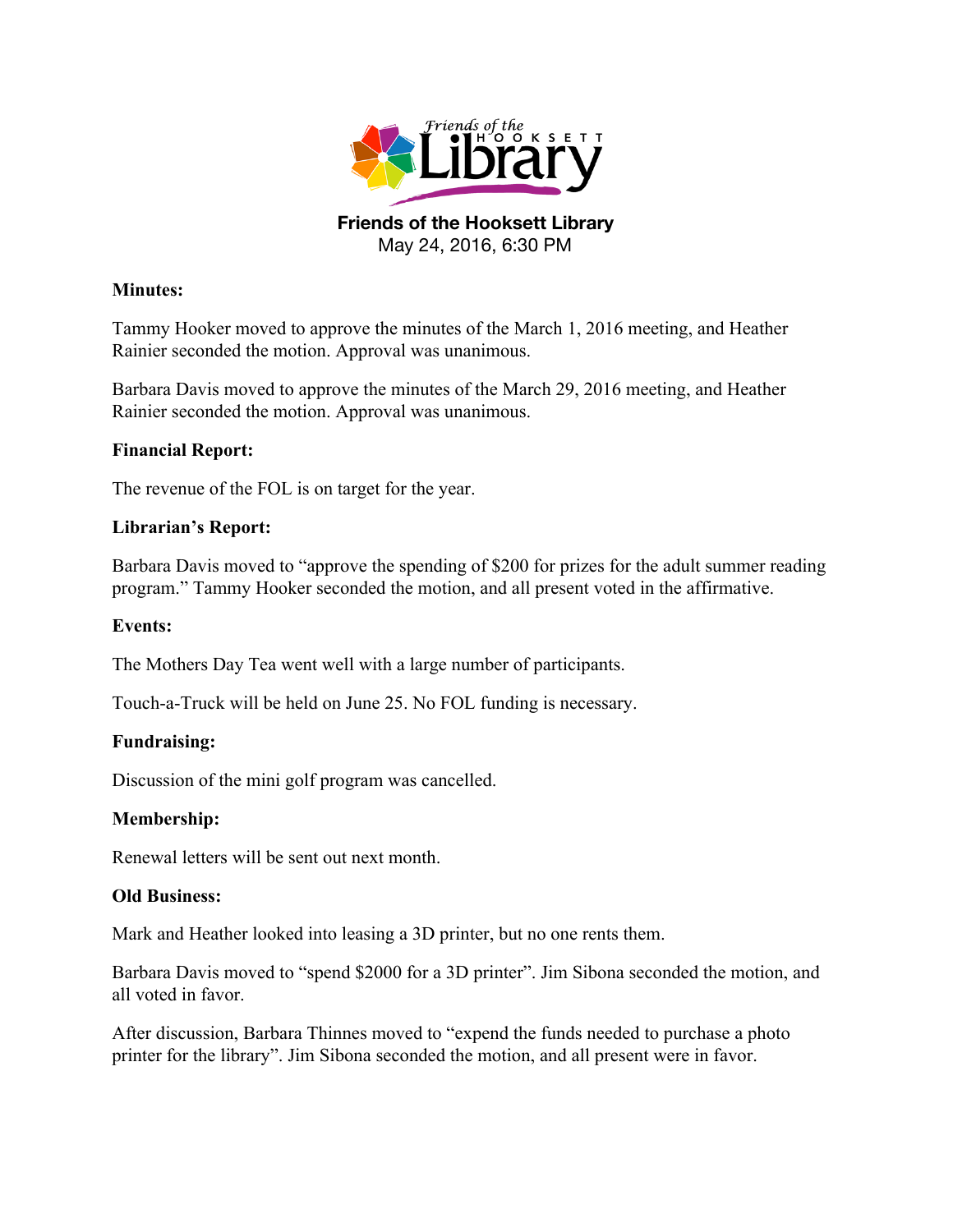

**Friends of the Hooksett Library** May 24, 2016, 6:30 PM

# **Minutes:**

Tammy Hooker moved to approve the minutes of the March 1, 2016 meeting, and Heather Rainier seconded the motion. Approval was unanimous.

Barbara Davis moved to approve the minutes of the March 29, 2016 meeting, and Heather Rainier seconded the motion. Approval was unanimous.

## **Financial Report:**

The revenue of the FOL is on target for the year.

## **Librarian's Report:**

Barbara Davis moved to "approve the spending of \$200 for prizes for the adult summer reading program." Tammy Hooker seconded the motion, and all present voted in the affirmative.

### **Events:**

The Mothers Day Tea went well with a large number of participants.

Touch-a-Truck will be held on June 25. No FOL funding is necessary.

# **Fundraising:**

Discussion of the mini golf program was cancelled.

### **Membership:**

Renewal letters will be sent out next month.

### **Old Business:**

Mark and Heather looked into leasing a 3D printer, but no one rents them.

Barbara Davis moved to "spend \$2000 for a 3D printer". Jim Sibona seconded the motion, and all voted in favor.

After discussion, Barbara Thinnes moved to "expend the funds needed to purchase a photo printer for the library". Jim Sibona seconded the motion, and all present were in favor.